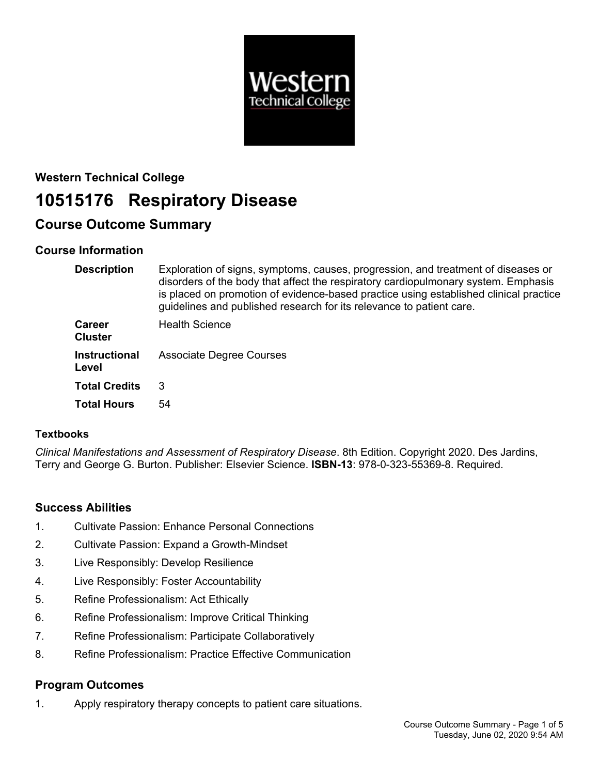

## **Western Technical College**

# **10515176 Respiratory Disease**

## **Course Outcome Summary**

## **Course Information**

| <b>Description</b>              | Exploration of signs, symptoms, causes, progression, and treatment of diseases or<br>disorders of the body that affect the respiratory cardiopulmonary system. Emphasis<br>is placed on promotion of evidence-based practice using established clinical practice<br>guidelines and published research for its relevance to patient care. |
|---------------------------------|------------------------------------------------------------------------------------------------------------------------------------------------------------------------------------------------------------------------------------------------------------------------------------------------------------------------------------------|
| <b>Career</b><br><b>Cluster</b> | <b>Health Science</b>                                                                                                                                                                                                                                                                                                                    |
| <b>Instructional</b><br>Level   | <b>Associate Degree Courses</b>                                                                                                                                                                                                                                                                                                          |
| <b>Total Credits</b>            | 3                                                                                                                                                                                                                                                                                                                                        |
| <b>Total Hours</b>              | 54                                                                                                                                                                                                                                                                                                                                       |

#### **Textbooks**

*Clinical Manifestations and Assessment of Respiratory Disease*. 8th Edition. Copyright 2020. Des Jardins, Terry and George G. Burton. Publisher: Elsevier Science. **ISBN-13**: 978-0-323-55369-8. Required.

## **Success Abilities**

- 1. Cultivate Passion: Enhance Personal Connections
- 2. Cultivate Passion: Expand a Growth-Mindset
- 3. Live Responsibly: Develop Resilience
- 4. Live Responsibly: Foster Accountability
- 5. Refine Professionalism: Act Ethically
- 6. Refine Professionalism: Improve Critical Thinking
- 7. Refine Professionalism: Participate Collaboratively
- 8. Refine Professionalism: Practice Effective Communication

## **Program Outcomes**

1. Apply respiratory therapy concepts to patient care situations.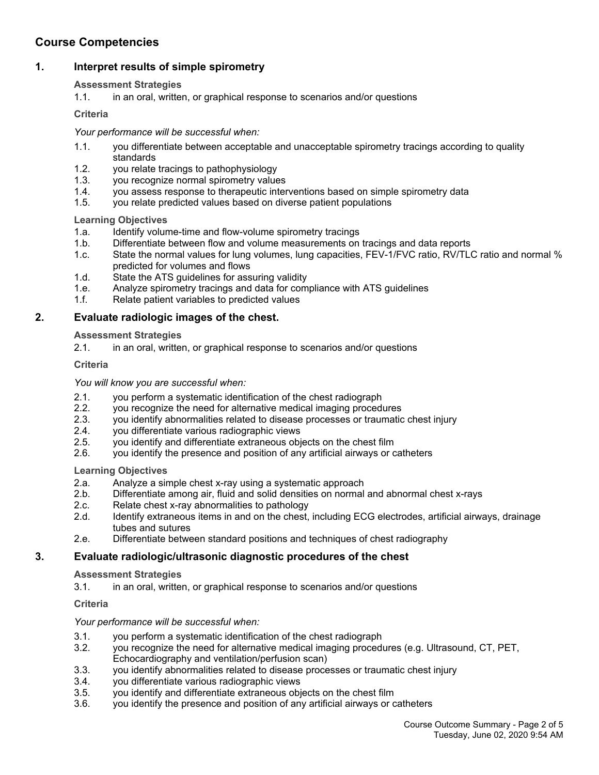## **Course Competencies**

### **1. Interpret results of simple spirometry**

#### **Assessment Strategies**

1.1. in an oral, written, or graphical response to scenarios and/or questions

**Criteria**

#### *Your performance will be successful when:*

- 1.1. you differentiate between acceptable and unacceptable spirometry tracings according to quality standards
- 1.2. you relate tracings to pathophysiology
- 1.3. you recognize normal spirometry values
- 1.4. you assess response to therapeutic interventions based on simple spirometry data
- 1.5. you relate predicted values based on diverse patient populations

#### **Learning Objectives**

- 1.a. Identify volume-time and flow-volume spirometry tracings
- 1.b. Differentiate between flow and volume measurements on tracings and data reports
- 1.c. State the normal values for lung volumes, lung capacities, FEV-1/FVC ratio, RV/TLC ratio and normal % predicted for volumes and flows
- 1.d. State the ATS guidelines for assuring validity
- 1.e. Analyze spirometry tracings and data for compliance with ATS guidelines
- 1.f. Relate patient variables to predicted values

#### **2. Evaluate radiologic images of the chest.**

#### **Assessment Strategies**

2.1. in an oral, written, or graphical response to scenarios and/or questions

#### **Criteria**

#### *You will know you are successful when:*

- 2.1. you perform a systematic identification of the chest radiograph
- 2.2. you recognize the need for alternative medical imaging procedures
- 2.3. you identify abnormalities related to disease processes or traumatic chest injury
- 2.4. you differentiate various radiographic views
- 2.5. you identify and differentiate extraneous objects on the chest film
- 2.6. you identify the presence and position of any artificial airways or catheters

#### **Learning Objectives**

- 2.a. Analyze a simple chest x-ray using a systematic approach
- 2.b. Differentiate among air, fluid and solid densities on normal and abnormal chest x-rays
- 2.c. Relate chest x-ray abnormalities to pathology
- 2.d. Identify extraneous items in and on the chest, including ECG electrodes, artificial airways, drainage tubes and sutures
- 2.e. Differentiate between standard positions and techniques of chest radiography

#### **3. Evaluate radiologic/ultrasonic diagnostic procedures of the chest**

#### **Assessment Strategies**

3.1. in an oral, written, or graphical response to scenarios and/or questions

#### **Criteria**

#### *Your performance will be successful when:*

- 3.1. you perform a systematic identification of the chest radiograph
- 3.2. you recognize the need for alternative medical imaging procedures (e.g. Ultrasound, CT, PET, Echocardiography and ventilation/perfusion scan)
- 3.3. you identify abnormalities related to disease processes or traumatic chest injury
- 3.4. you differentiate various radiographic views
- 3.5. you identify and differentiate extraneous objects on the chest film
- 3.6. you identify the presence and position of any artificial airways or catheters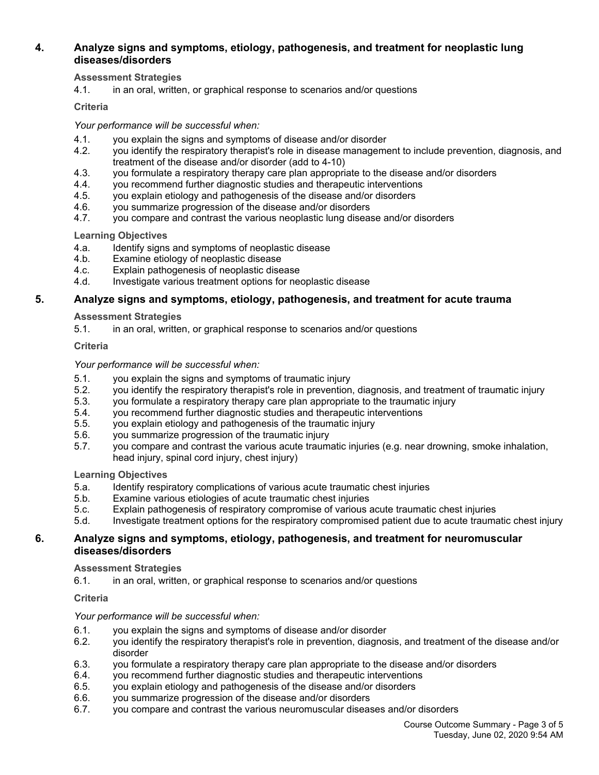#### **4. Analyze signs and symptoms, etiology, pathogenesis, and treatment for neoplastic lung diseases/disorders**

#### **Assessment Strategies**

4.1. in an oral, written, or graphical response to scenarios and/or questions

#### **Criteria**

#### *Your performance will be successful when:*

- 4.1. you explain the signs and symptoms of disease and/or disorder
- 4.2. you identify the respiratory therapist's role in disease management to include prevention, diagnosis, and treatment of the disease and/or disorder (add to 4-10)
- 4.3. you formulate a respiratory therapy care plan appropriate to the disease and/or disorders
- 4.4. you recommend further diagnostic studies and therapeutic interventions
- 4.5. you explain etiology and pathogenesis of the disease and/or disorders
- 4.6. you summarize progression of the disease and/or disorders
- 4.7. you compare and contrast the various neoplastic lung disease and/or disorders

#### **Learning Objectives**

- 4.a. Identify signs and symptoms of neoplastic disease
- 4.b. Examine etiology of neoplastic disease<br>4.c. Explain pathogenesis of neoplastic dise
- Explain pathogenesis of neoplastic disease
- 4.d. Investigate various treatment options for neoplastic disease

#### **5. Analyze signs and symptoms, etiology, pathogenesis, and treatment for acute trauma**

#### **Assessment Strategies**

5.1. in an oral, written, or graphical response to scenarios and/or questions

#### **Criteria**

#### *Your performance will be successful when:*

- 5.1. you explain the signs and symptoms of traumatic injury
- 5.2. you identify the respiratory therapist's role in prevention, diagnosis, and treatment of traumatic injury
- 5.3. you formulate a respiratory therapy care plan appropriate to the traumatic injury
- 5.4. you recommend further diagnostic studies and therapeutic interventions
- 5.5. you explain etiology and pathogenesis of the traumatic injury
- 5.6. you summarize progression of the traumatic injury
- 5.7. you compare and contrast the various acute traumatic injuries (e.g. near drowning, smoke inhalation, head injury, spinal cord injury, chest injury)

#### **Learning Objectives**

- 5.a. Identify respiratory complications of various acute traumatic chest injuries
- 5.b. Examine various etiologies of acute traumatic chest injuries
- 5.c. Explain pathogenesis of respiratory compromise of various acute traumatic chest injuries
- 5.d. Investigate treatment options for the respiratory compromised patient due to acute traumatic chest injury

#### **6. Analyze signs and symptoms, etiology, pathogenesis, and treatment for neuromuscular diseases/disorders**

#### **Assessment Strategies**

6.1. in an oral, written, or graphical response to scenarios and/or questions

#### **Criteria**

#### *Your performance will be successful when:*

- 6.1. you explain the signs and symptoms of disease and/or disorder
- 6.2. you identify the respiratory therapist's role in prevention, diagnosis, and treatment of the disease and/or disorder
- 6.3. you formulate a respiratory therapy care plan appropriate to the disease and/or disorders
- 6.4. you recommend further diagnostic studies and therapeutic interventions
- 6.5. you explain etiology and pathogenesis of the disease and/or disorders
- 6.6. you summarize progression of the disease and/or disorders
- 6.7. you compare and contrast the various neuromuscular diseases and/or disorders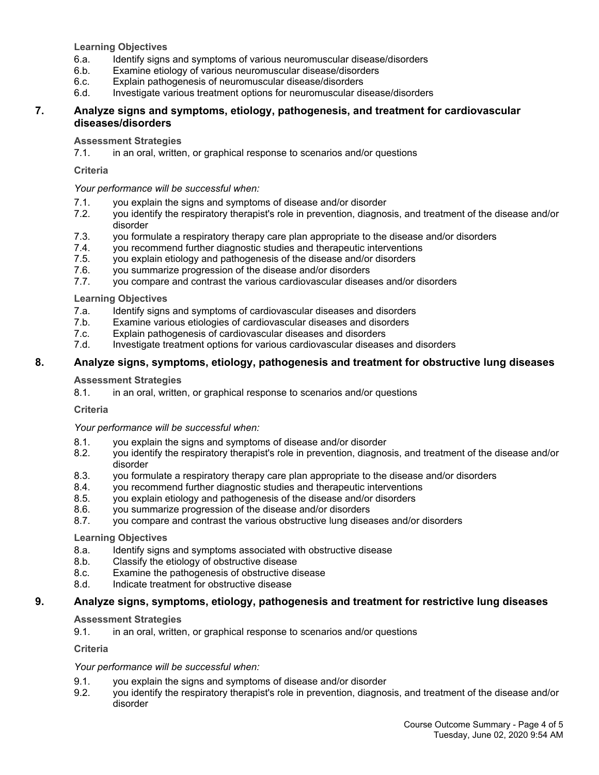**Learning Objectives**

- 6.a. Identify signs and symptoms of various neuromuscular disease/disorders
- 6.b. Examine etiology of various neuromuscular disease/disorders
- 6.c. Explain pathogenesis of neuromuscular disease/disorders
- 6.d. Investigate various treatment options for neuromuscular disease/disorders

#### **7. Analyze signs and symptoms, etiology, pathogenesis, and treatment for cardiovascular diseases/disorders**

#### **Assessment Strategies**

7.1. in an oral, written, or graphical response to scenarios and/or questions

#### **Criteria**

#### *Your performance will be successful when:*

- 7.1. you explain the signs and symptoms of disease and/or disorder
- 7.2. you identify the respiratory therapist's role in prevention, diagnosis, and treatment of the disease and/or disorder
- 7.3. you formulate a respiratory therapy care plan appropriate to the disease and/or disorders
- 7.4. you recommend further diagnostic studies and therapeutic interventions
- 7.5. you explain etiology and pathogenesis of the disease and/or disorders
- 7.6. you summarize progression of the disease and/or disorders
- 7.7. you compare and contrast the various cardiovascular diseases and/or disorders

#### **Learning Objectives**

- 7.a. Identify signs and symptoms of cardiovascular diseases and disorders
- 7.b. Examine various etiologies of cardiovascular diseases and disorders
- 7.c. Explain pathogenesis of cardiovascular diseases and disorders
- 7.d. Investigate treatment options for various cardiovascular diseases and disorders

#### **8. Analyze signs, symptoms, etiology, pathogenesis and treatment for obstructive lung diseases**

#### **Assessment Strategies**

8.1. in an oral, written, or graphical response to scenarios and/or questions

#### **Criteria**

*Your performance will be successful when:*

- 8.1. you explain the signs and symptoms of disease and/or disorder
- 8.2. you identify the respiratory therapist's role in prevention, diagnosis, and treatment of the disease and/or disorder
- 8.3. you formulate a respiratory therapy care plan appropriate to the disease and/or disorders
- 8.4. you recommend further diagnostic studies and therapeutic interventions
- 8.5. you explain etiology and pathogenesis of the disease and/or disorders
- 8.6. you summarize progression of the disease and/or disorders
- 8.7. you compare and contrast the various obstructive lung diseases and/or disorders

#### **Learning Objectives**

- 8.a. Identify signs and symptoms associated with obstructive disease
- 8.b. Classify the etiology of obstructive disease
- 8.c. Examine the pathogenesis of obstructive disease
- 8.d. Indicate treatment for obstructive disease

#### **9. Analyze signs, symptoms, etiology, pathogenesis and treatment for restrictive lung diseases**

#### **Assessment Strategies**

9.1. in an oral, written, or graphical response to scenarios and/or questions

**Criteria**

#### *Your performance will be successful when:*

- 9.1. you explain the signs and symptoms of disease and/or disorder
- 9.2. you identify the respiratory therapist's role in prevention, diagnosis, and treatment of the disease and/or disorder